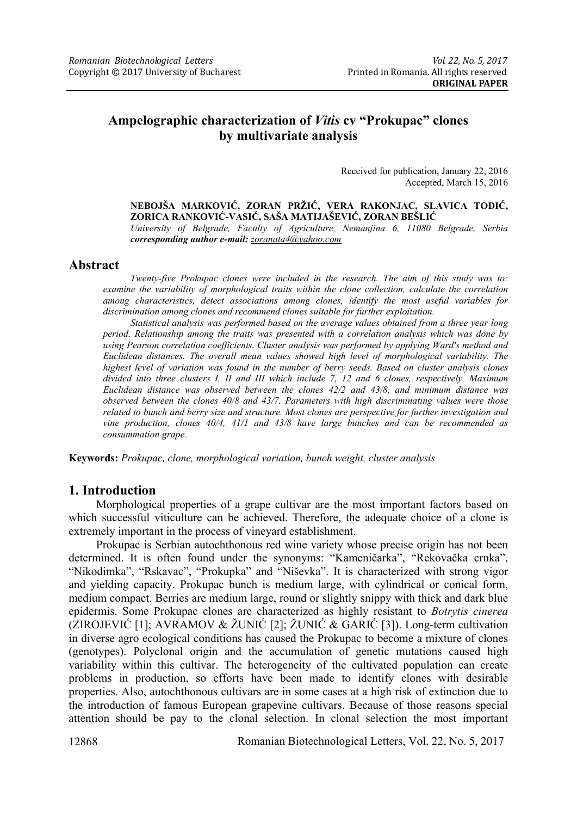# **Ampelographic characterization of** *Vitis* **cv "Prokupac" clones by multivariate analysis**

Received for publication, January 22, 2016 Accepted, March 15, 2016

**NEBOJŠA MARKOVIĆ, ZORAN PRŽIĆ, VERA RAKONJAC, SLAVICA TODIĆ, ZORICA RANKOVIĆ-VASIĆ, SAŠA MATIJAŠEVIĆ, ZORAN BEŠLIĆ**  *University of Belgrade, Faculty of Agriculture, Nemanjina 6, 11080 Belgrade, Serbia corresponding author e-mail: zoranata4@yahoo.com* 

### **Abstract**

*Twenty-five Prokupac clones were included in the research. The aim of this study was to: examine the variability of morphological traits within the clone collection, calculate the correlation among characteristics, detect associations among clones, identify the most useful variables for discrimination among clones and recommend clones suitable for further exploitation.* 

*Statistical analysis was performed based on the average values obtained from a three year long period. Relationship among the traits was presented with a correlation analysis which was done by using Pearson correlation coefficients. Cluster analysis was performed by applying Ward's method and Euclidean distances. The overall mean values showed high level of morphological variability. The highest level of variation was found in the number of berry seeds. Based on cluster analysis clones divided into three clusters I, II and III which include 7, 12 and 6 clones, respectively. Maximum Euclidean distance was observed between the clones 42/2 and 43/8, and minimum distance was observed between the clones 40/8 and 43/7. Parameters with high discriminating values were those related to bunch and berry size and structure. Most clones are perspective for further investigation and vine production, clones 40/4, 41/1 and 43/8 have large bunches and can be recommended as consummation grape.* 

**Keywords:** *Prokupac, clone, morphological variation, bunch weight, cluster analysis* 

### **1. Introduction**

Morphological properties of a grape cultivar are the most important factors based on which successful viticulture can be achieved. Therefore, the adequate choice of a clone is extremely important in the process of vineyard establishment.

Prokupac is Serbian autochthonous red wine variety whose precise origin has not been determined. It is often found under the synonyms: "Kameničarka", "Rekovačka crnka", "Nikodimka", "Rskavac", "Prokupka" and "Niševka". It is characterized with strong vigor and yielding capacity. Prokupac bunch is medium large, with cylindrical or conical form, medium compact. Berries are medium large, round or slightly snippy with thick and dark blue epidermis. Some Prokupac clones are characterized as highly resistant to *Botrytis cinerea* (ZIROJEVIĆ [1]; AVRAMOV & ŽUNIĆ [2]; ŽUNIĆ & GARIĆ [3]). Long-term cultivation in diverse agro ecological conditions has caused the Prokupac to become a mixture of clones (genotypes). Polyclonal origin and the accumulation of genetic mutations caused high variability within this cultivar. The heterogeneity of the cultivated population can create problems in production, so efforts have been made to identify clones with desirable properties. Also, autochthonous cultivars are in some cases at a high risk of extinction due to the introduction of famous European grapevine cultivars. Because of those reasons special attention should be pay to the clonal selection. In clonal selection the most important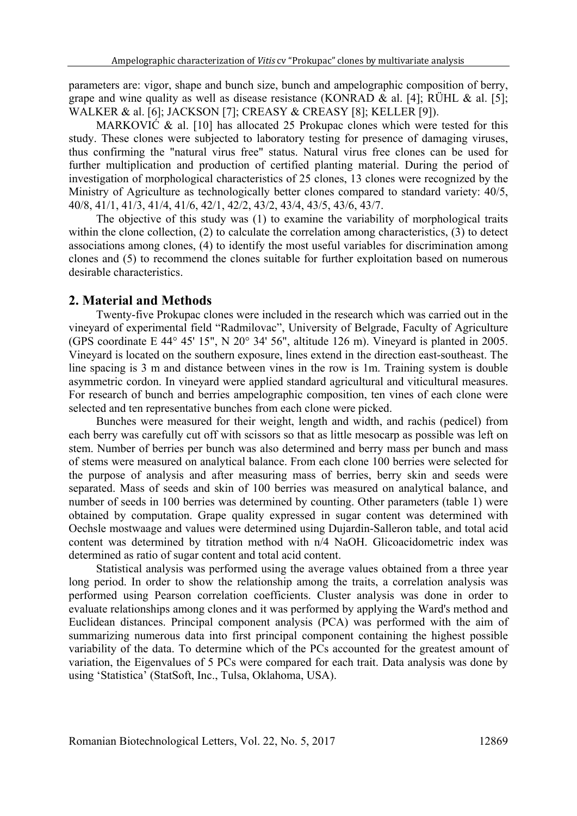parameters are: vigor, shape and bunch size, bunch and ampelographic composition of berry, grape and wine quality as well as disease resistance (KONRAD & al. [4]; RÜHL & al. [5]; WALKER & al. [6]; JACKSON [7]; CREASY & CREASY [8]; KELLER [9]).

MARKOVIĆ & al. [10] has allocated 25 Prokupac clones which were tested for this study. These clones were subjected to laboratory testing for presence of damaging viruses, thus confirming the "natural virus free" status. Natural virus free clones can be used for further multiplication and production of certified planting material. During the period of investigation of morphological characteristics of 25 clones, 13 clones were recognized by the Ministry of Agriculture as technologically better clones compared to standard variety: 40/5, 40/8, 41/1, 41/3, 41/4, 41/6, 42/1, 42/2, 43/2, 43/4, 43/5, 43/6, 43/7.

The objective of this study was (1) to examine the variability of morphological traits within the clone collection, (2) to calculate the correlation among characteristics, (3) to detect associations among clones, (4) to identify the most useful variables for discrimination among clones and (5) to recommend the clones suitable for further exploitation based on numerous desirable characteristics.

#### **2. Material and Methods**

Twenty-five Prokupac clones were included in the research which was carried out in the vineyard of experimental field "Radmilovac", University of Belgrade, Faculty of Agriculture (GPS coordinate E 44° 45' 15", N 20° 34' 56", altitude 126 m). Vineyard is planted in 2005. Vineyard is located on the southern exposure, lines extend in the direction east-southeast. The line spacing is 3 m and distance between vines in the row is 1m. Training system is double asymmetric cordon. In vineyard were applied standard agricultural and viticultural measures. For research of bunch and berries ampelographic composition, ten vines of each clone were selected and ten representative bunches from each clone were picked.

Bunches were measured for their weight, length and width, and rachis (pedicel) from each berry was carefully cut off with scissors so that as little mesocarp as possible was left on stem. Number of berries per bunch was also determined and berry mass per bunch and mass of stems were measured on analytical balance. From each clone 100 berries were selected for the purpose of analysis and after measuring mass of berries, berry skin and seeds were separated. Mass of seeds and skin of 100 berries was measured on analytical balance, and number of seeds in 100 berries was determined by counting. Other parameters (table 1) were obtained by computation. Grape quality expressed in sugar content was determined with Oechsle mostwaage and values were determined using Dujardin-Salleron table, and total acid content was determined by titration method with n/4 NaOH. Glicoacidometric index was determined as ratio of sugar content and total acid content.

Statistical analysis was performed using the average values obtained from a three year long period. In order to show the relationship among the traits, a correlation analysis was performed using Pearson correlation coefficients. Cluster analysis was done in order to evaluate relationships among clones and it was performed by applying the Ward's method and Euclidean distances. Principal component analysis (PCA) was performed with the aim of summarizing numerous data into first principal component containing the highest possible variability of the data. To determine which of the PCs accounted for the greatest amount of variation, the Eigenvalues of 5 PCs were compared for each trait. Data analysis was done by using 'Statistica' (StatSoft, Inc., Tulsa, Oklahoma, USA).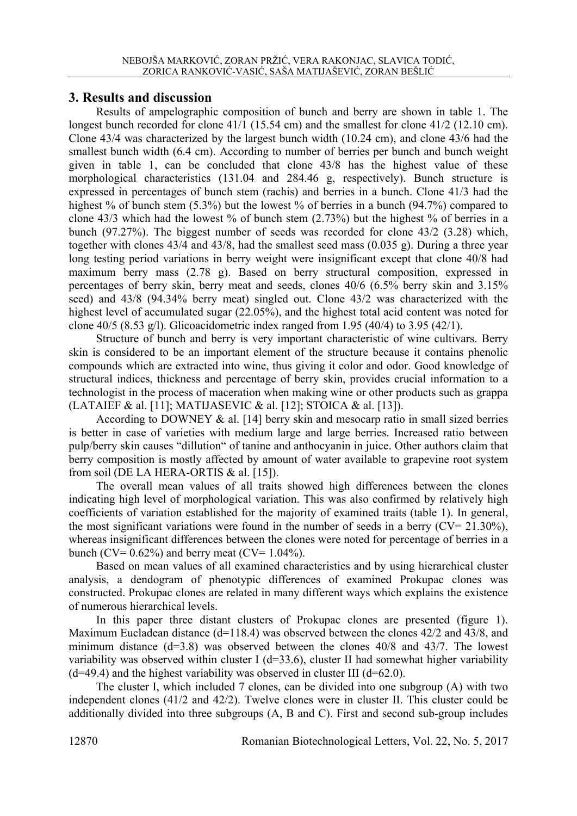### **3. Results and discussion**

Results of ampelographic composition of bunch and berry are shown in table 1. The longest bunch recorded for clone 41/1 (15.54 cm) and the smallest for clone 41/2 (12.10 cm). Clone 43/4 was characterized by the largest bunch width (10.24 cm), and clone 43/6 had the smallest bunch width (6.4 cm). According to number of berries per bunch and bunch weight given in table 1, can be concluded that clone 43/8 has the highest value of these morphological characteristics (131.04 and 284.46 g, respectively). Bunch structure is expressed in percentages of bunch stem (rachis) and berries in a bunch. Clone 41/3 had the highest % of bunch stem (5.3%) but the lowest % of berries in a bunch (94.7%) compared to clone 43/3 which had the lowest % of bunch stem (2.73%) but the highest % of berries in a bunch (97.27%). The biggest number of seeds was recorded for clone 43/2 (3.28) which, together with clones 43/4 and 43/8, had the smallest seed mass (0.035 g). During a three year long testing period variations in berry weight were insignificant except that clone 40/8 had maximum berry mass (2.78 g). Based on berry structural composition, expressed in percentages of berry skin, berry meat and seeds, clones 40/6 (6.5% berry skin and 3.15% seed) and 43/8 (94.34% berry meat) singled out. Clone 43/2 was characterized with the highest level of accumulated sugar (22.05%), and the highest total acid content was noted for clone 40/5 (8.53 g/l). Glicoacidometric index ranged from 1.95 (40/4) to 3.95 (42/1).

Structure of bunch and berry is very important characteristic of wine cultivars. Berry skin is considered to be an important element of the structure because it contains phenolic compounds which are extracted into wine, thus giving it color and odor. Good knowledge of structural indices, thickness and percentage of berry skin, provides crucial information to a technologist in the process of maceration when making wine or other products such as grappa (LATAIEF & al. [11]; MATIJASEVIC & al. [12]; STOICA & al. [13]).

According to DOWNEY & al. [14] berry skin and mesocarp ratio in small sized berries is better in case of varieties with medium large and large berries. Increased ratio between pulp/berry skin causes "dillution" of tanine and anthocyanin in juice. Other authors claim that berry composition is mostly affected by amount of water available to grapevine root system from soil (DE LA HERA-ORTIS & al. [15]).

The overall mean values of all traits showed high differences between the clones indicating high level of morphological variation. This was also confirmed by relatively high coefficients of variation established for the majority of examined traits (table 1). In general, the most significant variations were found in the number of seeds in a berry  $(CV= 21.30\%)$ , whereas insignificant differences between the clones were noted for percentage of berries in a bunch (CV=  $0.62\%$ ) and berry meat (CV=  $1.04\%$ ).

Based on mean values of all examined characteristics and by using hierarchical cluster analysis, a dendogram of phenotypic differences of examined Prokupac clones was constructed. Prokupac clones are related in many different ways which explains the existence of numerous hierarchical levels.

In this paper three distant clusters of Prokupac clones are presented (figure 1). Maximum Eucladean distance (d=118.4) was observed between the clones 42/2 and 43/8, and minimum distance (d=3.8) was observed between the clones 40/8 and 43/7. The lowest variability was observed within cluster I (d=33.6), cluster II had somewhat higher variability  $(d=49.4)$  and the highest variability was observed in cluster III  $(d=62.0)$ .

The cluster I, which included 7 clones, can be divided into one subgroup (A) with two independent clones (41/2 and 42/2). Twelve clones were in cluster II. This cluster could be additionally divided into three subgroups (A, B and C). First and second sub-group includes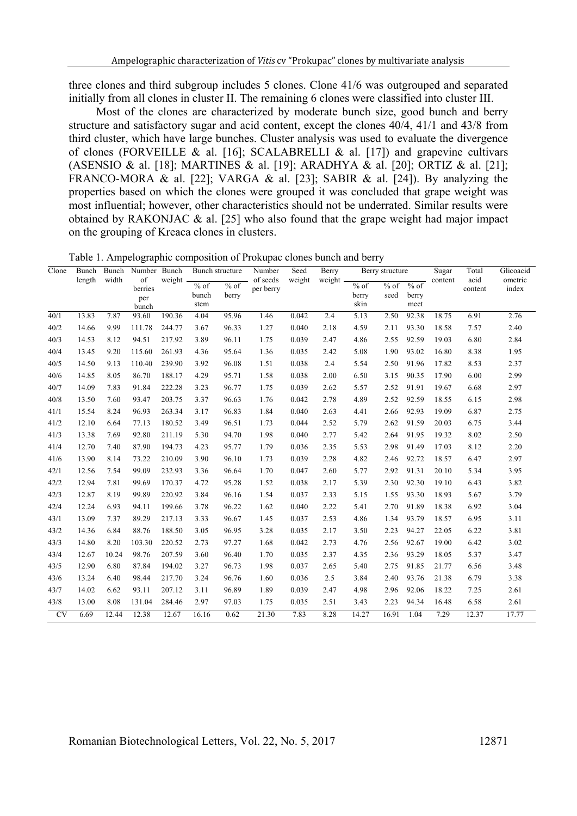three clones and third subgroup includes 5 clones. Clone 41/6 was outgrouped and separated initially from all clones in cluster II. The remaining 6 clones were classified into cluster III.

Most of the clones are characterized by moderate bunch size, good bunch and berry structure and satisfactory sugar and acid content, except the clones 40/4, 41/1 and 43/8 from third cluster, which have large bunches. Cluster analysis was used to evaluate the divergence of clones (FORVEILLE & al. [16]; SCALABRELLI & al. [17]) and grapevine cultivars (ASENSIO & al. [18]; MARTINES & al. [19]; ARADHYA & al. [20]; ORTIZ & al. [21]; FRANCO-MORA & al. [22]; VARGA & al. [23]; SABIR & al. [24]). By analyzing the properties based on which the clones were grouped it was concluded that grape weight was most influential; however, other characteristics should not be underrated. Similar results were obtained by RAKONJAC  $\&$  al. [25] who also found that the grape weight had major impact on the grouping of Kreaca clones in clusters.

| Clone     | Bunch<br>length | Bunch<br>width | Number Bunch<br>of<br>berries<br>per<br>bunch | weight | Bunch structure         |                 | Number                | Seed   | Berry  | Berry structure                   |                |                       | Sugar   | Total           | Glicoacid        |
|-----------|-----------------|----------------|-----------------------------------------------|--------|-------------------------|-----------------|-----------------------|--------|--------|-----------------------------------|----------------|-----------------------|---------|-----------------|------------------|
|           |                 |                |                                               |        | $%$ of<br>bunch<br>stem | $%$ of<br>berry | of seeds<br>per berry | weight | weight | $\frac{9}{6}$ of<br>berry<br>skin | $%$ of<br>seed | % of<br>berry<br>meet | content | acid<br>content | ometric<br>index |
| 40/1      | 13.83           | 7.87           | 93.60                                         | 190.36 | 4.04                    | 95.96           | 1.46                  | 0.042  | 2.4    | 5.13                              | 2.50           | 92.38                 | 18.75   | 6.91            | 2.76             |
| 40/2      | 14.66           | 9.99           | 111.78                                        | 244.77 | 3.67                    | 96.33           | 1.27                  | 0.040  | 2.18   | 4.59                              | 2.11           | 93.30                 | 18.58   | 7.57            | 2.40             |
| 40/3      | 14.53           | 8.12           | 94.51                                         | 217.92 | 3.89                    | 96.11           | 1.75                  | 0.039  | 2.47   | 4.86                              | 2.55           | 92.59                 | 19.03   | 6.80            | 2.84             |
| 40/4      | 13.45           | 9.20           | 115.60                                        | 261.93 | 4.36                    | 95.64           | 1.36                  | 0.035  | 2.42   | 5.08                              | 1.90           | 93.02                 | 16.80   | 8.38            | 1.95             |
| 40/5      | 14.50           | 9.13           | 110.40                                        | 239.90 | 3.92                    | 96.08           | 1.51                  | 0.038  | 2.4    | 5.54                              | 2.50           | 91.96                 | 17.82   | 8.53            | 2.37             |
| 40/6      | 14.85           | 8.05           | 86.70                                         | 188.17 | 4.29                    | 95.71           | 1.58                  | 0.038  | 2.00   | 6.50                              | 3.15           | 90.35                 | 17.90   | 6.00            | 2.99             |
| 40/7      | 14.09           | 7.83           | 91.84                                         | 222.28 | 3.23                    | 96.77           | 1.75                  | 0.039  | 2.62   | 5.57                              | 2.52           | 91.91                 | 19.67   | 6.68            | 2.97             |
| 40/8      | 13.50           | 7.60           | 93.47                                         | 203.75 | 3.37                    | 96.63           | 1.76                  | 0.042  | 2.78   | 4.89                              | 2.52           | 92.59                 | 18.55   | 6.15            | 2.98             |
| 41/1      | 15.54           | 8.24           | 96.93                                         | 263.34 | 3.17                    | 96.83           | 1.84                  | 0.040  | 2.63   | 4.41                              | 2.66           | 92.93                 | 19.09   | 6.87            | 2.75             |
| 41/2      | 12.10           | 6.64           | 77.13                                         | 180.52 | 3.49                    | 96.51           | 1.73                  | 0.044  | 2.52   | 5.79                              | 2.62           | 91.59                 | 20.03   | 6.75            | 3.44             |
| 41/3      | 13.38           | 7.69           | 92.80                                         | 211.19 | 5.30                    | 94.70           | 1.98                  | 0.040  | 2.77   | 5.42                              | 2.64           | 91.95                 | 19.32   | 8.02            | 2.50             |
| 41/4      | 12.70           | 7.40           | 87.90                                         | 194.73 | 4.23                    | 95.77           | 1.79                  | 0.036  | 2.35   | 5.53                              | 2.98           | 91.49                 | 17.03   | 8.12            | 2.20             |
| 41/6      | 13.90           | 8.14           | 73.22                                         | 210.09 | 3.90                    | 96.10           | 1.73                  | 0.039  | 2.28   | 4.82                              | 2.46           | 92.72                 | 18.57   | 6.47            | 2.97             |
| 42/1      | 12.56           | 7.54           | 99.09                                         | 232.93 | 3.36                    | 96.64           | 1.70                  | 0.047  | 2.60   | 5.77                              | 2.92           | 91.31                 | 20.10   | 5.34            | 3.95             |
| 42/2      | 12.94           | 7.81           | 99.69                                         | 170.37 | 4.72                    | 95.28           | 1.52                  | 0.038  | 2.17   | 5.39                              | 2.30           | 92.30                 | 19.10   | 6.43            | 3.82             |
| 42/3      | 12.87           | 8.19           | 99.89                                         | 220.92 | 3.84                    | 96.16           | 1.54                  | 0.037  | 2.33   | 5.15                              | 1.55           | 93.30                 | 18.93   | 5.67            | 3.79             |
| 42/4      | 12.24           | 6.93           | 94.11                                         | 199.66 | 3.78                    | 96.22           | 1.62                  | 0.040  | 2.22   | 5.41                              | 2.70           | 91.89                 | 18.38   | 6.92            | 3.04             |
| 43/1      | 13.09           | 7.37           | 89.29                                         | 217.13 | 3.33                    | 96.67           | 1.45                  | 0.037  | 2.53   | 4.86                              | 1.34           | 93.79                 | 18.57   | 6.95            | 3.11             |
| 43/2      | 14.36           | 6.84           | 88.76                                         | 188.50 | 3.05                    | 96.95           | 3.28                  | 0.035  | 2.17   | 3.50                              | 2.23           | 94.27                 | 22.05   | 6.22            | 3.81             |
| 43/3      | 14.80           | 8.20           | 103.30                                        | 220.52 | 2.73                    | 97.27           | 1.68                  | 0.042  | 2.73   | 4.76                              | 2.56           | 92.67                 | 19.00   | 6.42            | 3.02             |
| 43/4      | 12.67           | 10.24          | 98.76                                         | 207.59 | 3.60                    | 96.40           | 1.70                  | 0.035  | 2.37   | 4.35                              | 2.36           | 93.29                 | 18.05   | 5.37            | 3.47             |
| 43/5      | 12.90           | 6.80           | 87.84                                         | 194.02 | 3.27                    | 96.73           | 1.98                  | 0.037  | 2.65   | 5.40                              | 2.75           | 91.85                 | 21.77   | 6.56            | 3.48             |
| 43/6      | 13.24           | 6.40           | 98.44                                         | 217.70 | 3.24                    | 96.76           | 1.60                  | 0.036  | 2.5    | 3.84                              | 2.40           | 93.76                 | 21.38   | 6.79            | 3.38             |
| 43/7      | 14.02           | 6.62           | 93.11                                         | 207.12 | 3.11                    | 96.89           | 1.89                  | 0.039  | 2.47   | 4.98                              | 2.96           | 92.06                 | 18.22   | 7.25            | 2.61             |
| 43/8      | 13.00           | 8.08           | 131.04                                        | 284.46 | 2.97                    | 97.03           | 1.75                  | 0.035  | 2.51   | 3.43                              | 2.23           | 94.34                 | 16.48   | 6.58            | 2.61             |
| <b>CV</b> | 6.69            | 12.44          | 12.38                                         | 12.67  | 16.16                   | 0.62            | 21.30                 | 7.83   | 8.28   | 14.27                             | 16.91          | 1.04                  | 7.29    | 12.37           | 17.77            |

Table 1. Ampelographic composition of Prokupac clones bunch and berry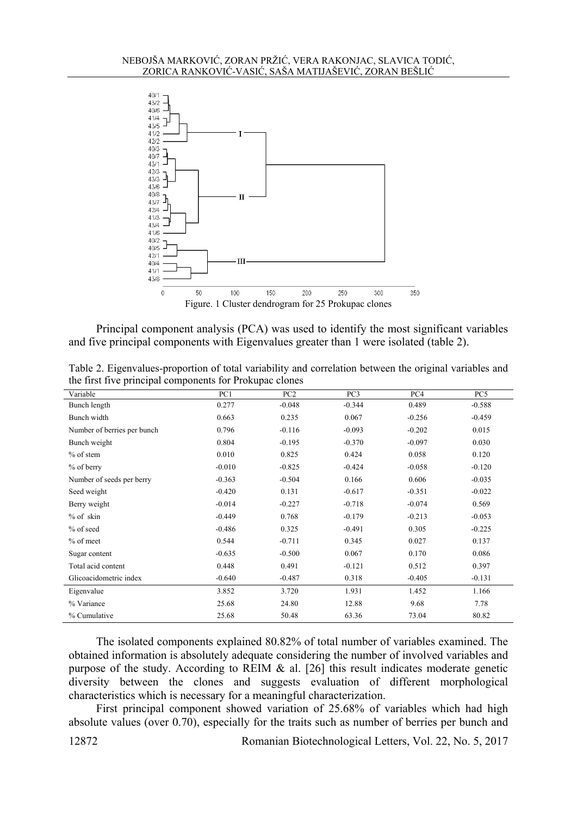

Principal component analysis (PCA) was used to identify the most significant variables and five principal components with Eigenvalues greater than 1 were isolated (table 2).

Table 2. Eigenvalues-proportion of total variability and correlation between the original variables and the first five principal components for Prokupac clones

| Variable                    | PC1      | PC <sub>2</sub> | PC <sub>3</sub> | PC4      | PC5      |
|-----------------------------|----------|-----------------|-----------------|----------|----------|
| Bunch length                | 0.277    | $-0.048$        | $-0.344$        | 0.489    | $-0.588$ |
| Bunch width                 | 0.663    | 0.235           | 0.067           | $-0.256$ | $-0.459$ |
| Number of berries per bunch | 0.796    | $-0.116$        | $-0.093$        | $-0.202$ | 0.015    |
| Bunch weight                | 0.804    | $-0.195$        | $-0.370$        | $-0.097$ | 0.030    |
| $%$ of stem                 | 0.010    | 0.825           | 0.424           | 0.058    | 0.120    |
| % of berry                  | $-0.010$ | $-0.825$        | $-0.424$        | $-0.058$ | $-0.120$ |
| Number of seeds per berry   | $-0.363$ | $-0.504$        | 0.166           | 0.606    | $-0.035$ |
| Seed weight                 | $-0.420$ | 0.131           | $-0.617$        | $-0.351$ | $-0.022$ |
| Berry weight                | $-0.014$ | $-0.227$        | $-0.718$        | $-0.074$ | 0.569    |
| % of skin                   | $-0.449$ | 0.768           | $-0.179$        | $-0.213$ | $-0.053$ |
| % of seed                   | $-0.486$ | 0.325           | $-0.491$        | 0.305    | $-0.225$ |
| % of meet                   | 0.544    | $-0.711$        | 0.345           | 0.027    | 0.137    |
| Sugar content               | $-0.635$ | $-0.500$        | 0.067           | 0.170    | 0.086    |
| Total acid content          | 0.448    | 0.491           | $-0.121$        | 0.512    | 0.397    |
| Glicoacidometric index      | $-0.640$ | $-0.487$        | 0.318           | $-0.405$ | $-0.131$ |
| Eigenvalue                  | 3.852    | 3.720           | 1.931           | 1.452    | 1.166    |
| % Variance                  | 25.68    | 24.80           | 12.88           | 9.68     | 7.78     |
| % Cumulative                | 25.68    | 50.48           | 63.36           | 73.04    | 80.82    |

The isolated components explained 80.82% of total number of variables examined. The obtained information is absolutely adequate considering the number of involved variables and purpose of the study. According to REIM & al. [26] this result indicates moderate genetic diversity between the clones and suggests evaluation of different morphological characteristics which is necessary for a meaningful characterization.

First principal component showed variation of 25.68% of variables which had high absolute values (over 0.70), especially for the traits such as number of berries per bunch and

12872 Romanian Biotechnological Letters, Vol. 22, No. 5, 2017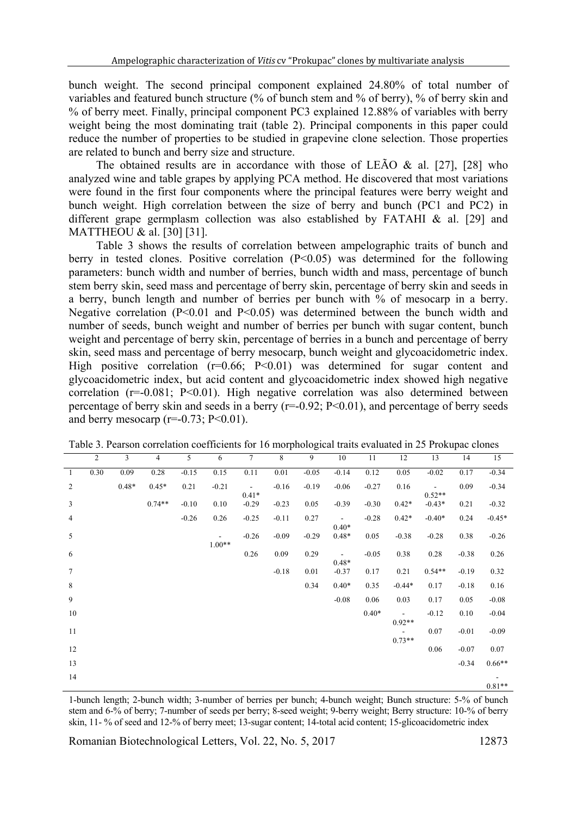bunch weight. The second principal component explained 24.80% of total number of variables and featured bunch structure (% of bunch stem and % of berry), % of berry skin and % of berry meet. Finally, principal component PC3 explained 12.88% of variables with berry weight being the most dominating trait (table 2). Principal components in this paper could reduce the number of properties to be studied in grapevine clone selection. Those properties are related to bunch and berry size and structure.

The obtained results are in accordance with those of LE $\tilde{A}O \&$  al. [27], [28] who analyzed wine and table grapes by applying PCA method. He discovered that most variations were found in the first four components where the principal features were berry weight and bunch weight. High correlation between the size of berry and bunch (PC1 and PC2) in different grape germplasm collection was also established by FATAHI & al. [29] and MATTHEOU & al. [30] [31].

Table 3 shows the results of correlation between ampelographic traits of bunch and berry in tested clones. Positive correlation (P<0.05) was determined for the following parameters: bunch width and number of berries, bunch width and mass, percentage of bunch stem berry skin, seed mass and percentage of berry skin, percentage of berry skin and seeds in a berry, bunch length and number of berries per bunch with % of mesocarp in a berry. Negative correlation ( $P<0.01$  and  $P<0.05$ ) was determined between the bunch width and number of seeds, bunch weight and number of berries per bunch with sugar content, bunch weight and percentage of berry skin, percentage of berries in a bunch and percentage of berry skin, seed mass and percentage of berry mesocarp, bunch weight and glycoacidometric index. High positive correlation  $(r=0.66; P<0.01)$  was determined for sugar content and glycoacidometric index, but acid content and glycoacidometric index showed high negative correlation ( $r=0.081$ ; P<0.01). High negative correlation was also determined between percentage of berry skin and seeds in a berry  $(r=0.92; P<0.01)$ , and percentage of berry seeds and berry mesocarp ( $r=0.73$ ;  $P<0.01$ ).

|                | $\overline{2}$ | 3       | 4        | 5       | 6        | 7                        | 8       | 9       | 10                        | 11      | 12       | 13                       | 14      | 15       |
|----------------|----------------|---------|----------|---------|----------|--------------------------|---------|---------|---------------------------|---------|----------|--------------------------|---------|----------|
| -1             | 0.30           | 0.09    | 0.28     | $-0.15$ | 0.15     | 0.11                     | 0.01    | $-0.05$ | $-0.14$                   | 0.12    | 0.05     | $-0.02$                  | 0.17    | $-0.34$  |
| $\overline{2}$ |                | $0.48*$ | $0.45*$  | 0.21    | $-0.21$  | $\overline{\phantom{a}}$ | $-0.16$ | $-0.19$ | $-0.06$                   | $-0.27$ | 0.16     | $\overline{\phantom{a}}$ | 0.09    | $-0.34$  |
| $\mathfrak{Z}$ |                |         | $0.74**$ | $-0.10$ | 0.10     | $0.41*$<br>$-0.29$       | $-0.23$ | 0.05    | $-0.39$                   | $-0.30$ | $0.42*$  | $0.52**$<br>$-0.43*$     | 0.21    | $-0.32$  |
| $\overline{4}$ |                |         |          | $-0.26$ | 0.26     | $-0.25$                  | $-0.11$ | 0.27    | $\blacksquare$            | $-0.28$ | $0.42*$  | $-0.40*$                 | 0.24    | $-0.45*$ |
| 5              |                |         |          |         | $\sim$   | $-0.26$                  | $-0.09$ | $-0.29$ | $0.40*$<br>$0.48*$        | 0.05    | $-0.38$  | $-0.28$                  | 0.38    | $-0.26$  |
|                |                |         |          |         | $1.00**$ |                          |         |         |                           |         |          |                          |         |          |
| 6              |                |         |          |         |          | 0.26                     | 0.09    | 0.29    | $\blacksquare$<br>$0.48*$ | $-0.05$ | 0.38     | 0.28                     | $-0.38$ | 0.26     |
| $\tau$         |                |         |          |         |          |                          | $-0.18$ | 0.01    | $-0.37$                   | 0.17    | 0.21     | $0.54**$                 | $-0.19$ | 0.32     |
| $\,8\,$        |                |         |          |         |          |                          |         | 0.34    | $0.40*$                   | 0.35    | $-0.44*$ | 0.17                     | $-0.18$ | 0.16     |
| 9              |                |         |          |         |          |                          |         |         | $-0.08$                   | 0.06    | 0.03     | 0.17                     | 0.05    | $-0.08$  |
| 10             |                |         |          |         |          |                          |         |         |                           | $0.40*$ | $\sim$   | $-0.12$                  | 0.10    | $-0.04$  |
| 11             |                |         |          |         |          |                          |         |         |                           |         | $0.92**$ | 0.07                     | $-0.01$ | $-0.09$  |
| 12             |                |         |          |         |          |                          |         |         |                           |         | $0.73**$ | 0.06                     | $-0.07$ | 0.07     |
|                |                |         |          |         |          |                          |         |         |                           |         |          |                          |         |          |
| 13             |                |         |          |         |          |                          |         |         |                           |         |          |                          | $-0.34$ | $0.66**$ |
| 14             |                |         |          |         |          |                          |         |         |                           |         |          |                          |         | $0.81**$ |

Table 3. Pearson correlation coefficients for 16 morphological traits evaluated in 25 Prokupac clones

1-bunch length; 2-bunch width; 3-number of berries per bunch; 4-bunch weight; Bunch structure: 5-% of bunch stem and 6-% of berry; 7-number of seeds per berry; 8-seed weight; 9-berry weight; Berry structure: 10-% of berry skin, 11- % of seed and 12-% of berry meet; 13-sugar content; 14-total acid content; 15-glicoacidometric index

Romanian Biotechnological Letters, Vol. 22, No. 5, 2017 12873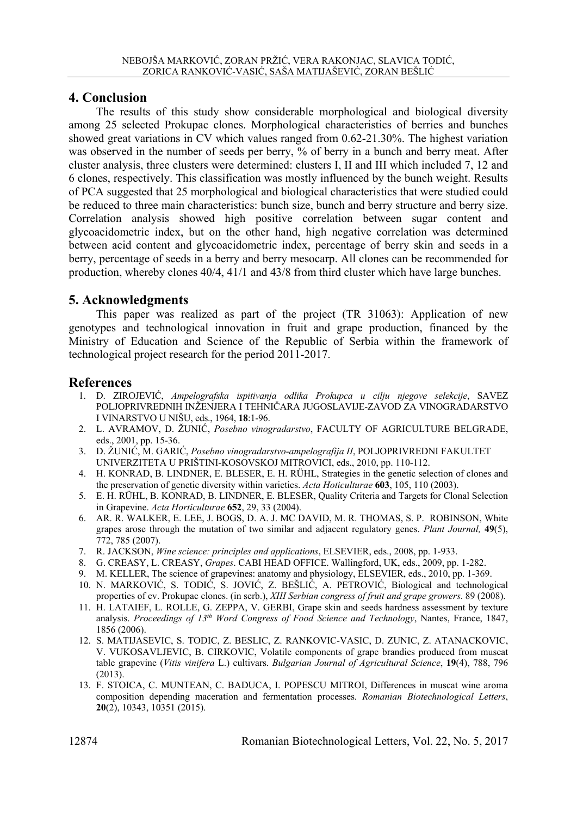## **4. Conclusion**

The results of this study show considerable morphological and biological diversity among 25 selected Prokupac clones. Morphological characteristics of berries and bunches showed great variations in CV which values ranged from 0.62-21.30%. The highest variation was observed in the number of seeds per berry, % of berry in a bunch and berry meat. After cluster analysis, three clusters were determined: clusters I, II and III which included 7, 12 and 6 clones, respectively. This classification was mostly influenced by the bunch weight. Results of PCA suggested that 25 morphological and biological characteristics that were studied could be reduced to three main characteristics: bunch size, bunch and berry structure and berry size. Correlation analysis showed high positive correlation between sugar content and glycoacidometric index, but on the other hand, high negative correlation was determined between acid content and glycoacidometric index, percentage of berry skin and seeds in a berry, percentage of seeds in a berry and berry mesocarp. All clones can be recommended for production, whereby clones 40/4, 41/1 and 43/8 from third cluster which have large bunches.

## **5. Acknowledgments**

This paper was realized as part of the project (TR 31063): Application of new genotypes and technological innovation in fruit and grape production, financed by the Ministry of Education and Science of the Republic of Serbia within the framework of technological project research for the period 2011-2017.

## **References**

- 1. D. ZIROJEVIĆ, *Ampelografska ispitivanja odlika Prokupca u cilju njegove selekcije*, SAVEZ POLJOPRIVREDNIH INŽENJERA I TEHNIČARA JUGOSLAVIJE-ZAVOD ZA VINOGRADARSTVO I VINARSTVO U NIŠU, eds., 1964, **18**:1-96.
- 2. L. AVRAMOV, D. ŽUNIĆ, *Posebno vinogradarstvo*, FACULTY OF AGRICULTURE BELGRADE, eds., 2001, pp. 15-36.
- 3. D. ŽUNIĆ, M. GARIĆ, *Posebno vinogradarstvo-ampelografija II*, POLJOPRIVREDNI FAKULTET UNIVERZITETA U PRIŠTINI-KOSOVSKOJ MITROVICI, eds., 2010, pp. 110-112.
- 4. H. KONRAD, B. LINDNER, E. BLESER, E. H. RÜHL, Strategies in the genetic selection of clones and the preservation of genetic diversity within varieties. *Acta Hoticulturae* **603**, 105, 110 (2003).
- 5. E. H. RÜHL, B. KONRAD, B. LINDNER, E. BLESER, Quality Criteria and Targets for Clonal Selection in Grapevine. *Acta Horticulturae* **652**, 29, 33 (2004).
- 6. AR. R. WALKER, E. LEE, J. BOGS, D. A. J. MC DAVID, M. R. THOMAS, S. P. ROBINSON, White grapes arose through the mutation of two similar and adjacent regulatory genes. *Plant Journal,* **49**(5), 772, 785 (2007).
- 7. R. JACKSON, *Wine science: principles and applications*, ELSEVIER, eds., 2008, pp. 1-933.
- 8. G. CREASY, L. CREASY, *Grapes*. CABI HEAD OFFICE. Wallingford, UK, eds., 2009, pp. 1-282.
- 9. M. KELLER, The science of grapevines: anatomy and physiology, ELSEVIER, eds., 2010, pp. 1-369.
- 10. N. MARKOVIĆ, S. TODIĆ, S. JOVIĆ, Z. BEŠLIĆ, A. PETROVIĆ, Biological and technological properties of cv. Prokupac clones. (in serb.), *XIII Serbian congress of fruit and grape growers*. 89 (2008).
- 11. H. LATAIEF, L. ROLLE, G. ZEPPA, V. GERBI, Grape skin and seeds hardness assessment by texture analysis. *Proceedings of 13th Word Congress of Food Science and Technology*, Nantes, France, 1847, 1856 (2006).
- 12. S. MATIJASEVIC, S. TODIC, Z. BESLIC, Z. RANKOVIC-VASIC, D. ZUNIC, Z. ATANACKOVIC, V. VUKOSAVLJEVIC, B. CIRKOVIC, Volatile components of grape brandies produced from muscat table grapevine (*Vitis vinifera* L.) cultivars. *Bulgarian Journal of Agricultural Science*, **19**(4), 788, 796 (2013).
- 13. F. STOICA, C. MUNTEAN, C. BADUCA, I. POPESCU MITROI, Differences in muscat wine aroma composition depending maceration and fermentation processes. *Romanian Biotechnological Letters*, **20**(2), 10343, 10351 (2015).